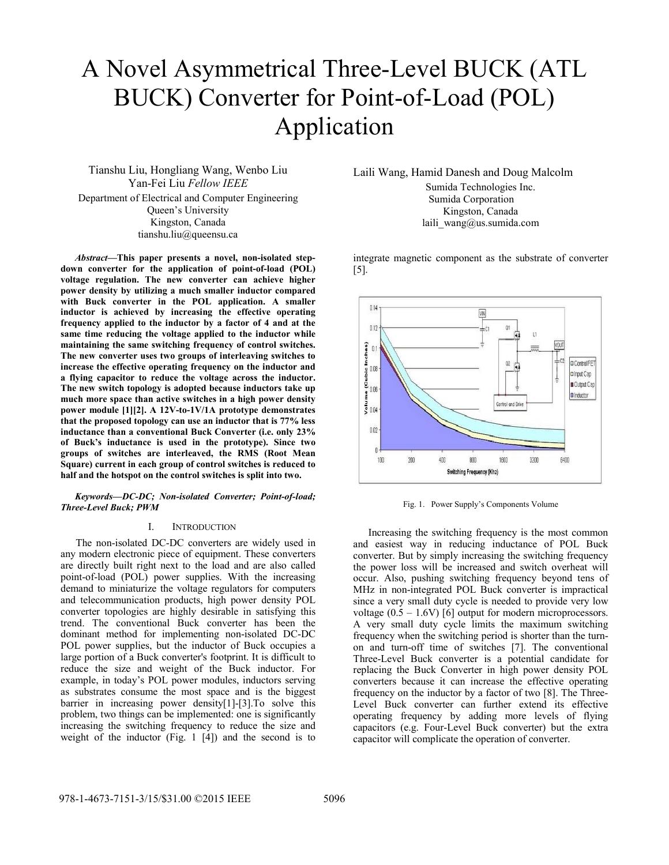# A Novel Asymmetrical Three-Level BUCK (ATL BUCK) Converter for Point-of-Load (POL) Application

Tianshu Liu, Hongliang Wang, Wenbo Liu Yan-Fei Liu *Fellow IEEE* Department of Electrical and Computer Engineering Queen's University Kingston, Canada tianshu.liu@queensu.ca

*Abstract***—This paper presents a novel, non-isolated stepdown converter for the application of point-of-load (POL) voltage regulation. The new converter can achieve higher power density by utilizing a much smaller inductor compared with Buck converter in the POL application. A smaller inductor is achieved by increasing the effective operating frequency applied to the inductor by a factor of 4 and at the same time reducing the voltage applied to the inductor while maintaining the same switching frequency of control switches. The new converter uses two groups of interleaving switches to increase the effective operating frequency on the inductor and a flying capacitor to reduce the voltage across the inductor. The new switch topology is adopted because inductors take up much more space than active switches in a high power density power module [1][2]. A 12V-to-1V/1A prototype demonstrates that the proposed topology can use an inductor that is 77% less inductance than a conventional Buck Converter (i.e. only 23% of Buck's inductance is used in the prototype). Since two groups of switches are interleaved, the RMS (Root Mean Square) current in each group of control switches is reduced to half and the hotspot on the control switches is split into two.** 

#### *Keywords—DC-DC; Non-isolated Converter; Point-of-load; Three-Level Buck; PWM*

#### I. INTRODUCTION

 The non-isolated DC-DC converters are widely used in any modern electronic piece of equipment. These converters are directly built right next to the load and are also called point-of-load (POL) power supplies. With the increasing demand to miniaturize the voltage regulators for computers and telecommunication products, high power density POL converter topologies are highly desirable in satisfying this trend. The conventional Buck converter has been the dominant method for implementing non-isolated DC-DC POL power supplies, but the inductor of Buck occupies a large portion of a Buck converter's footprint. It is difficult to reduce the size and weight of the Buck inductor. For example, in today's POL power modules, inductors serving as substrates consume the most space and is the biggest barrier in increasing power density[1]-[3].To solve this problem, two things can be implemented: one is significantly increasing the switching frequency to reduce the size and weight of the inductor (Fig. 1 [4]) and the second is to

Laili Wang, Hamid Danesh and Doug Malcolm Sumida Technologies Inc. Sumida Corporation Kingston, Canada laili wang@us.sumida.com

integrate magnetic component as the substrate of converter [5].



Fig. 1. Power Supply's Components Volume

 Increasing the switching frequency is the most common and easiest way in reducing inductance of POL Buck converter. But by simply increasing the switching frequency the power loss will be increased and switch overheat will occur. Also, pushing switching frequency beyond tens of MHz in non-integrated POL Buck converter is impractical since a very small duty cycle is needed to provide very low voltage  $(0.5 - 1.6V)$  [6] output for modern microprocessors. A very small duty cycle limits the maximum switching frequency when the switching period is shorter than the turnon and turn-off time of switches [7]. The conventional Three-Level Buck converter is a potential candidate for replacing the Buck Converter in high power density POL converters because it can increase the effective operating frequency on the inductor by a factor of two [8]. The Three-Level Buck converter can further extend its effective operating frequency by adding more levels of flying capacitors (e.g. Four-Level Buck converter) but the extra capacitor will complicate the operation of converter.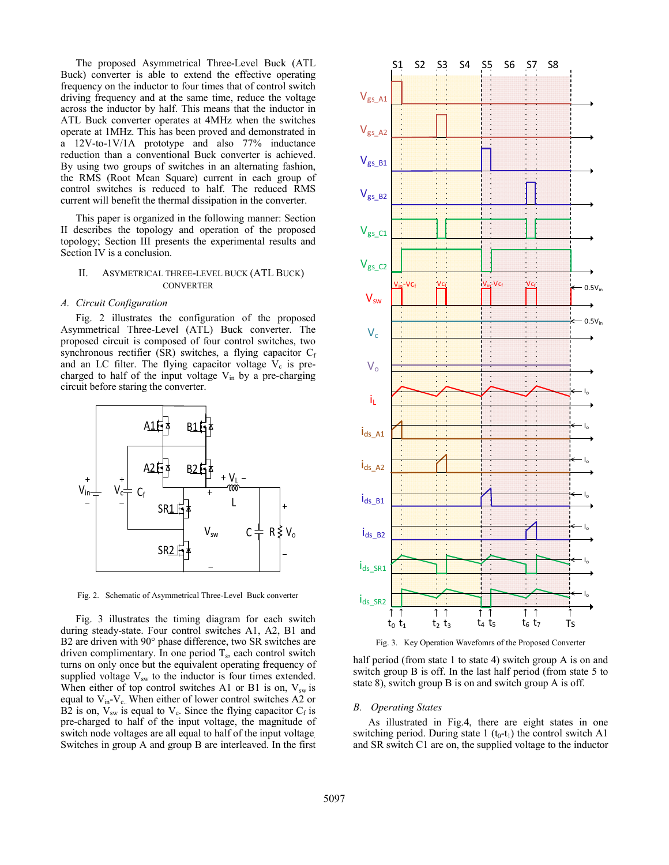The proposed Asymmetrical Three-Level Buck (ATL Buck) converter is able to extend the effective operating frequency on the inductor to four times that of control switch driving frequency and at the same time, reduce the voltage across the inductor by half. This means that the inductor in ATL Buck converter operates at 4MHz when the switches operate at 1MHz. This has been proved and demonstrated in a 12V-to-1V/1A prototype and also 77% inductance reduction than a conventional Buck converter is achieved. By using two groups of switches in an alternating fashion, the RMS (Root Mean Square) current in each group of control switches is reduced to half. The reduced RMS current will benefit the thermal dissipation in the converter.

 This paper is organized in the following manner: Section II describes the topology and operation of the proposed topology; Section III presents the experimental results and Section IV is a conclusion.

## II. ASYMETRICAL THREE-LEVEL BUCK (ATL BUCK) **CONVERTER**

## *A. Circuit Configuration*

 Fig. 2 illustrates the configuration of the proposed Asymmetrical Three-Level (ATL) Buck converter. The proposed circuit is composed of four control switches, two synchronous rectifier (SR) switches, a flying capacitor  $C_f$ and an LC filter. The flying capacitor voltage  $V_c$  is precharged to half of the input voltage  $V_{in}$  by a pre-charging circuit before staring the converter.



Fig. 2. Schematic of Asymmetrical Three-Level Buck converter

 Fig. 3 illustrates the timing diagram for each switch during steady-state. Four control switches A1, A2, B1 and B2 are driven with 90° phase difference, two SR switches are driven complimentary. In one period  $T_s$ , each control switch turns on only once but the equivalent operating frequency of supplied voltage  $V_{sw}$  to the inductor is four times extended. When either of top control switches A1 or B1 is on,  $V_{sw}$  is equal to  $V_{in}$ - $V_c$ . When either of lower control switches A2 or  $B2$  is on,  $V_{sw}$  is equal to  $V_c$ . Since the flying capacitor  $C_f$  is pre-charged to half of the input voltage, the magnitude of switch node voltages are all equal to half of the input voltage. Switches in group A and group B are interleaved. In the first



Fig. 3. Key Operation Wavefomrs of the Proposed Converter

half period (from state 1 to state 4) switch group A is on and switch group B is off. In the last half period (from state 5 to state 8), switch group B is on and switch group A is off.

#### *B. Operating States*

As illustrated in Fig.4, there are eight states in one switching period. During state 1  $(t_0-t_1)$  the control switch A1 and SR switch C1 are on, the supplied voltage to the inductor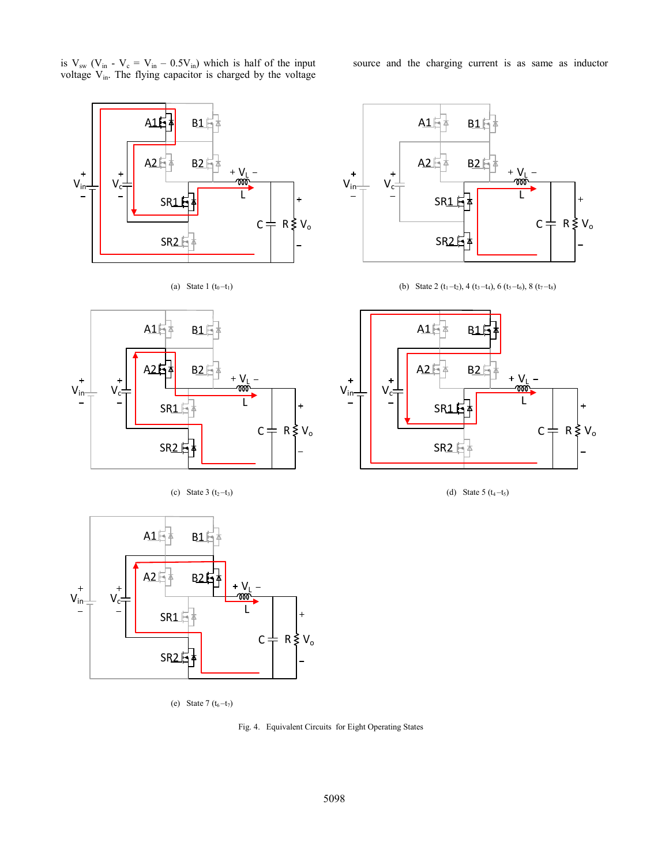is  $V_{sw}$  (V<sub>in</sub> - V<sub>c</sub> = V<sub>in</sub> – 0.5V<sub>in</sub>) which is half of the input voltage  $V_{in}$ . The flying capacitor is charged by the voltage source and the charging current is as same as inductor







<sup>(</sup>a) State 1  $(t_0 - t_1)$  (b) State 2  $(t_1 - t_2)$ , 4  $(t_3 - t_4)$ , 6  $(t_5 - t_6)$ , 8  $(t_7 - t_8)$ 

B1

 $B2\Box$ 

 $A1$ 

本

 $A2\overline{5}$ 

SR2

SR1

L

 $\frac{+V_{\perp}}{1000}$ 

 $C + R \xi V_0$ 



(c) State 3  $(t_2 - t_3)$  (d) State 5  $(t_4 - t_5)$ 



(e) State 7  $(t_6 - t_7)$ 

Fig. 4. Equivalent Circuits for Eight Operating States

 $V_{in}$   $\perp$  |  $V_c$ 

 $\ddot{}$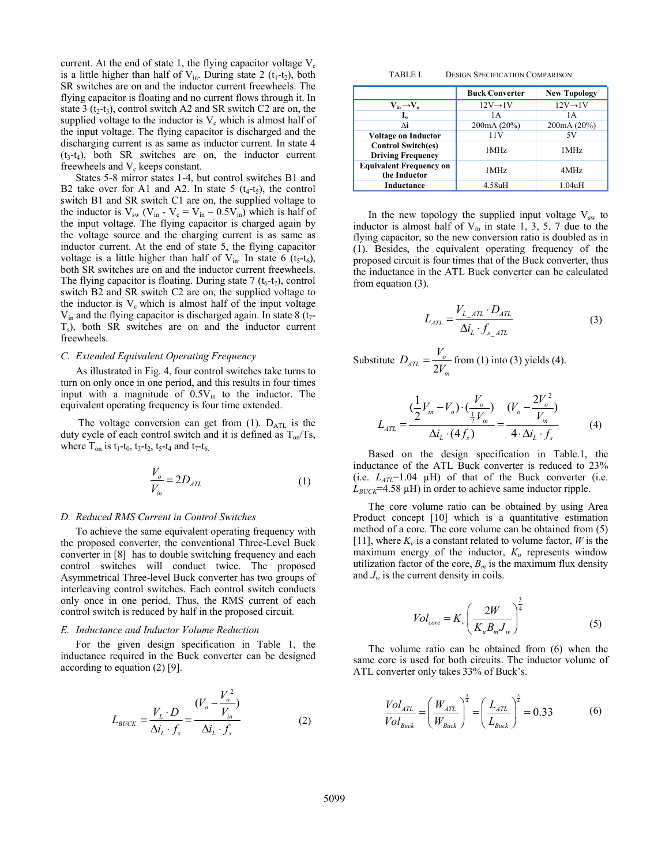current. At the end of state 1, the flying capacitor voltage  $V_c$ is a little higher than half of  $V_{in}$ . During state 2 (t<sub>1</sub>-t<sub>2</sub>), both SR switches are on and the inductor current freewheels. The flying capacitor is floating and no current flows through it. In state 3 ( $t_2$ - $t_3$ ), control switch A2 and SR switch C2 are on, the supplied voltage to the inductor is  $V_c$  which is almost half of the input voltage. The flying capacitor is discharged and the discharging current is as same as inductor current. In state 4  $(t_3-t_4)$ , both SR switches are on, the inductor current freewheels and  $V_c$  keeps constant.

States 5-8 mirror states 1-4, but control switches B1 and B2 take over for A1 and A2. In state 5  $(t_4-t_5)$ , the control switch B1 and SR switch C1 are on, the supplied voltage to the inductor is  $V_{sw}$  (V<sub>in</sub> - V<sub>c</sub> = V<sub>in</sub> – 0.5V<sub>in</sub>) which is half of the input voltage. The flying capacitor is charged again by the voltage source and the charging current is as same as inductor current. At the end of state 5, the flying capacitor voltage is a little higher than half of  $V_{in}$ . In state 6 (t<sub>5</sub>-t<sub>6</sub>), both SR switches are on and the inductor current freewheels. The flying capacitor is floating. During state 7 ( $t_6-t_7$ ), control switch B2 and SR switch C2 are on, the supplied voltage to the inductor is  $V_c$  which is almost half of the input voltage  $V_{in}$  and the flying capacitor is discharged again. In state 8 (t<sub>7</sub>-Ts), both SR switches are on and the inductor current freewheels.

#### *C. Extended Equivalent Operating Frequency*

As illustrated in Fig. 4, four control switches take turns to turn on only once in one period, and this results in four times input with a magnitude of  $0.5V<sub>in</sub>$  to the inductor. The equivalent operating frequency is four time extended.

The voltage conversion can get from  $(1)$ .  $D_{ATL}$  is the duty cycle of each control switch and it is defined as  $T_{on}/Ts$ , where  $T_{on}$  is  $t_1-t_0$ ,  $t_3-t_2$ ,  $t_5-t_4$  and  $t_7-t_6$ .

$$
\frac{V_o}{V_{in}} = 2D_{ATL} \tag{1}
$$

## *D. Reduced RMS Current in Control Switches*

To achieve the same equivalent operating frequency with the proposed converter, the conventional Three-Level Buck converter in [8] has to double switching frequency and each control switches will conduct twice. The proposed Asymmetrical Three-level Buck converter has two groups of interleaving control switches. Each control switch conducts only once in one period. Thus, the RMS current of each control switch is reduced by half in the proposed circuit.

#### *E. Inductance and Inductor Volume Reduction*

For the given design specification in Table 1, the inductance required in the Buck converter can be designed according to equation (2) [9].

$$
L_{BUCK} = \frac{V_L \cdot D}{\Delta i_L \cdot f_s} = \frac{(V_o - \frac{V_o^2}{V_{in}})}{\Delta i_L \cdot f_s}
$$
 (2)

TABLE I. DESIGN SPECIFICATION COMPARISON

|                                                       | <b>Buck Converter</b> | <b>New Topology</b>  |
|-------------------------------------------------------|-----------------------|----------------------|
| $V_{in} \rightarrow V_{o}$                            | $12V \rightarrow 1V$  | $12V \rightarrow 1V$ |
| L.                                                    | 1 A                   | 1 A                  |
| Λi                                                    | 200mA (20%)           | 200mA(20%)           |
| <b>Voltage on Inductor</b>                            | 11 V                  | 5V                   |
| <b>Control Switch(es)</b><br><b>Driving Frequency</b> | 1 MHz                 | 1 MHz                |
| <b>Equivalent Frequency on</b><br>the Inductor        | 1 MHz                 | 4MHz                 |
| Inductance                                            | 4.58uH                | 1.04uH               |

In the new topology the supplied input voltage  $V_{sw}$  to inductor is almost half of  $V_{in}$  in state 1, 3, 5, 7 due to the flying capacitor, so the new conversion ratio is doubled as in (1). Besides, the equivalent operating frequency of the proposed circuit is four times that of the Buck converter, thus the inductance in the ATL Buck converter can be calculated from equation (3).

$$
L_{ATL} = \frac{V_{L\_ATL} \cdot D_{ATL}}{\Delta i_L \cdot f_{s\_ATL}}
$$
 (3)

Substitute  $D_{ATL} = \frac{1}{2}$  $A_{\text{Z}} = \frac{V_{\text{o}}}{2V}$ *in*  $D_{ATL} = \frac{V_o}{2V_{in}}$  from (1) into (3) yields (4).

$$
L_{ATL} = \frac{(\frac{1}{2}V_{in} - V_o) \cdot (\frac{V_o}{\frac{1}{2}V_{in}})}{\Delta i_L \cdot (4f_s)} = \frac{(V_o - \frac{2V_o^2}{V_{in}})}{4 \cdot \Delta i_L \cdot f_s}
$$
(4)

 Based on the design specification in Table.1, the inductance of the ATL Buck converter is reduced to 23% (i.e.  $L_{ATL}$ =1.04  $\mu$ H) of that of the Buck converter (i.e.  $L_{BUCK}$ =4.58  $\mu$ H) in order to achieve same inductor ripple.

 The core volume ratio can be obtained by using Area Product concept [10] which is a quantitative estimation method of a core. The core volume can be obtained from (5) [11], where  $K_v$  is a constant related to volume factor, *W* is the maximum energy of the inductor, *Ku* represents window utilization factor of the core,  $B_m$  is the maximum flux density and  $J_w$  is the current density in coils.

$$
Vol_{core} = K_v \left(\frac{2W}{K_u B_m J_w}\right)^{\frac{3}{4}}
$$
 (5)

 The volume ratio can be obtained from (6) when the same core is used for both circuits. The inductor volume of ATL converter only takes 33% of Buck's.

$$
\frac{Vol_{ATL}}{Vol_{Buck}} = \left(\frac{W_{ATL}}{W_{Buck}}\right)^{\frac{3}{4}} = \left(\frac{L_{ATL}}{L_{Buck}}\right)^{\frac{3}{4}} = 0.33
$$
 (6)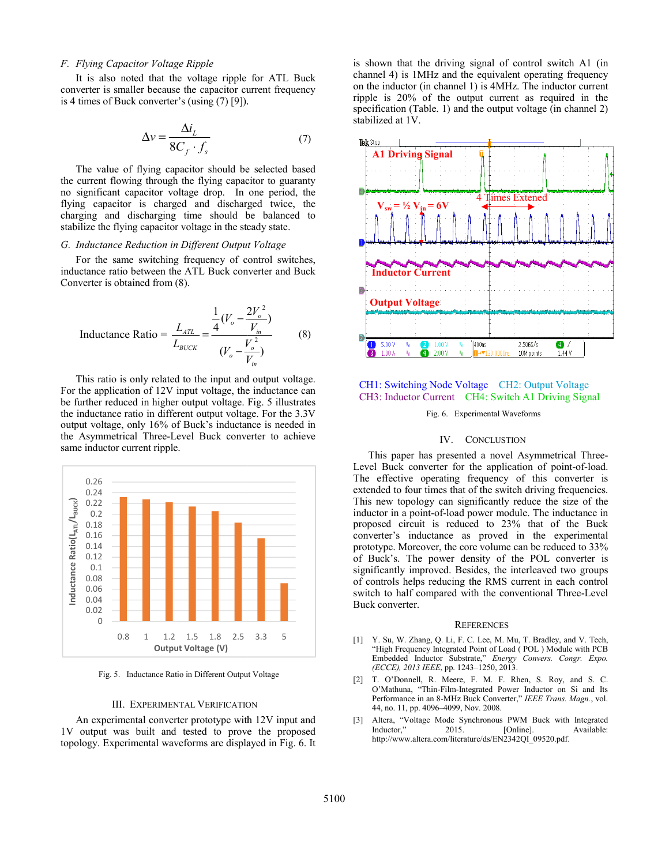### *F. Flying Capacitor Voltage Ripple*

It is also noted that the voltage ripple for ATL Buck converter is smaller because the capacitor current frequency is 4 times of Buck converter's (using (7) [9]).

converter's (using (7) [9]).  
\n
$$
\Delta v = \frac{\Delta i_L}{8C_f \cdot f_s}
$$
\n(7)

The value of flying capacitor should be selected based the current flowing through the flying capacitor to guaranty no significant capacitor voltage drop. In one period, the flying capacitor is charged and discharged twice, the charging and discharging time should b be balanced to stabilize the flying capacitor voltage in the steady state.

#### *G. Inductance Reduction in Different Outpu t Voltage*

For the same switching frequency of c ontrol switches, inductance ratio between the ATL Buck converter and Buck Converter is obtained from (8).

Inductance Ratio = 
$$
\frac{L_{ATL}}{L_{BUCK}} = \frac{\frac{1}{4}(V_o - \frac{2V_o^2}{V_{in}})}{(V_o - \frac{V_o^2}{V_{in}})}
$$
(8)

This ratio is only related to the input and output voltage. For the application of 12V input voltage, the inductance can be further reduced in higher output voltage. Fig. 5 illustrates the inductance ratio in different output voltag ge. For the 3.3V output voltage, only 16% of Buck's inductance is needed in the Asymmetrical Three-Level Buck converter to achieve same inductor current ripple.



Fig. 5. Inductance Ratio in Different Output Voltage

#### III. EXPERIMENTAL VERIFICATION

An experimental converter prototype with h 12V input and 1V output was built and tested to prove the proposed topology. Experimental waveforms are displayed in Fig. 6. It

is shown that the driving s signal of control switch A1 (in channel 4) is 1MHz and the equivalent operating frequency on the inductor (in channel 1 ) is 4MHz. The inductor current ripple is 20% of the output current as required in the specification (Table. 1) and the output voltage (in channel 2) stabilized at 1V.



## CH1: Switching Node Voltage CH2: Output Voltage CH3: Inductor Current CH4: Switch A1 Driving Signal

Fig. 6. Experimental Waveforms

#### IV. CONCLUSTION

This paper has presented d a novel Asymmetrical Three-Level Buck converter for the application of point-of-load. The effective operating frequency of this converter is extended to four times that of the switch driving frequencies. This new topology can significantly reduce the size of the inductor in a point-of-load power module. The inductance in proposed circuit is reduced to 23% that of the Buck converter's inductance as proved in the experimental prototype. Moreover, the core volume can be reduced to 33% of Buck's. The power density of the POL converter is significantly improved. Besides, the interleaved two groups of controls helps reducing th he RMS current in each control switch to half compared with the conventional Three-Level Buck converter.

#### **REFERENCES**

- [1] Y. Su, W. Zhang, Q. Li, F. C. Lee, M. Mu, T. Bradley, and V. Tech, "High Frequency Integrated Point of Load (POL) Module with PCB Embedded Inductor Substrate," *Energy Convers. Congr. Expo. (ECCE), 2013 IEEE*, pp. 1243 –1250, 2013.
- [2] T. O'Donnell, R. Meere, F. M. F. Rhen, S. Roy, and S. C. O'Mathuna, "Thin-Film-Integ grated Power Inductor on Si and Its Performance in an 8-MHz Buck Converter," IEEE Trans. Magn., vol. 44, no. 11, pp. 4096–4099, Nov. 2008.
- [3] Altera, "Voltage Mode Synchronous PWM Buck with Integrated Inductor," 2015. http://www.altera.com/literature/ds/EN2342QI\_09520.pdf. [Online]. Available: